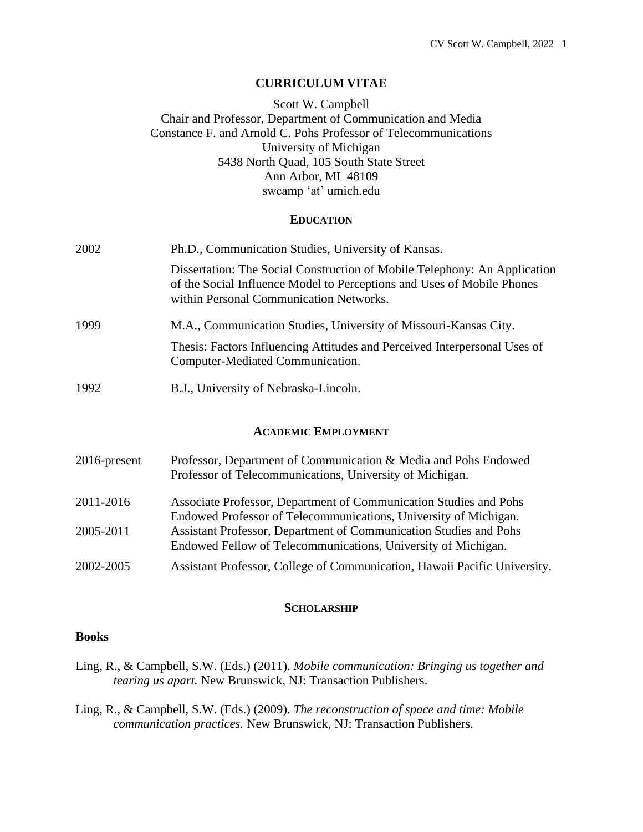### **CURRICULUM VITAE**

## Scott W. Campbell Chair and Professor, Department of Communication and Media Constance F. and Arnold C. Pohs Professor of Telecommunications University of Michigan 5438 North Quad, 105 South State Street Ann Arbor, MI 48109 swcamp 'at' umich.edu

#### **EDUCATION**

| 2002 | Ph.D., Communication Studies, University of Kansas.                                                                                                                                            |  |  |
|------|------------------------------------------------------------------------------------------------------------------------------------------------------------------------------------------------|--|--|
|      | Dissertation: The Social Construction of Mobile Telephony: An Application<br>of the Social Influence Model to Perceptions and Uses of Mobile Phones<br>within Personal Communication Networks. |  |  |
| 1999 | M.A., Communication Studies, University of Missouri-Kansas City.                                                                                                                               |  |  |
|      | Thesis: Factors Influencing Attitudes and Perceived Interpersonal Uses of<br>Computer-Mediated Communication.                                                                                  |  |  |
| 1992 | B.J., University of Nebraska-Lincoln.                                                                                                                                                          |  |  |

#### **ACADEMIC EMPLOYMENT**

- 2016-present Professor, Department of Communication & Media and Pohs Endowed Professor of Telecommunications, University of Michigan.
- 2011-2016 Associate Professor, Department of Communication Studies and Pohs Endowed Professor of Telecommunications, University of Michigan. 2005-2011 Assistant Professor, Department of Communication Studies and Pohs Endowed Fellow of Telecommunications, University of Michigan.
- 2002-2005 Assistant Professor, College of Communication, Hawaii Pacific University.

#### **SCHOLARSHIP**

#### **Books**

- Ling, R., & Campbell, S.W. (Eds.) (2011). *Mobile communication: Bringing us together and tearing us apart.* New Brunswick, NJ: Transaction Publishers.
- Ling, R., & Campbell, S.W. (Eds.) (2009). *The reconstruction of space and time: Mobile communication practices.* New Brunswick, NJ: Transaction Publishers.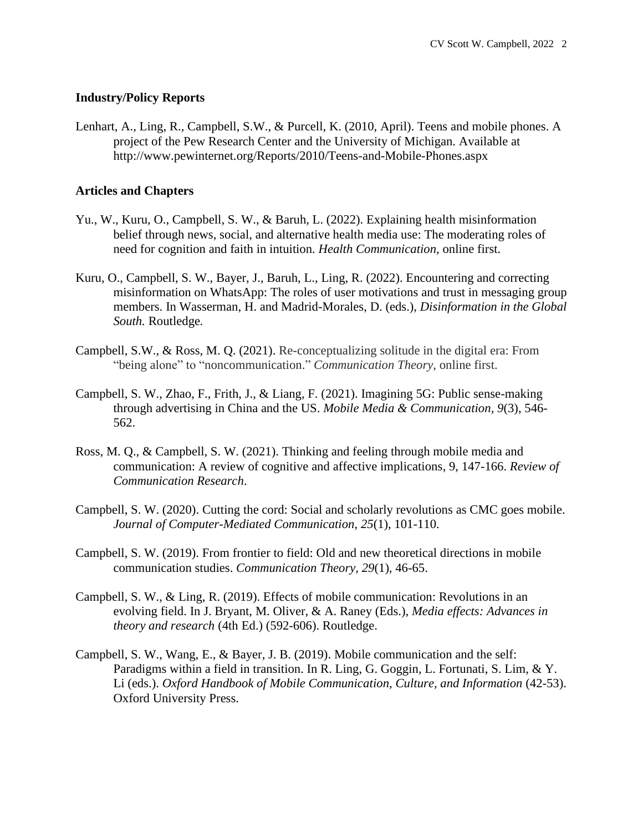## **Industry/Policy Reports**

Lenhart, A., Ling, R., Campbell, S.W., & Purcell, K. (2010, April). Teens and mobile phones. A project of the Pew Research Center and the University of Michigan. Available at http://www.pewinternet.org/Reports/2010/Teens-and-Mobile-Phones.aspx

## **Articles and Chapters**

- Yu., W., Kuru, O., Campbell, S. W., & Baruh, L. (2022). Explaining health misinformation belief through news, social, and alternative health media use: The moderating roles of need for cognition and faith in intuition. *Health Communication,* online first.
- Kuru, O., Campbell, S. W., Bayer, J., Baruh, L., Ling, R. (2022). Encountering and correcting misinformation on WhatsApp: The roles of user motivations and trust in messaging group members. In Wasserman, H. and Madrid-Morales, D. (eds.), *Disinformation in the Global South.* Routledge*.*
- Campbell, S.W., & Ross, M. Q. (2021). Re-conceptualizing solitude in the digital era: From "being alone" to "noncommunication." *Communication Theory*, online first.
- Campbell, S. W., Zhao, F., Frith, J., & Liang, F. (2021). Imagining 5G: Public sense-making through advertising in China and the US. *Mobile Media & Communication, 9*(3), 546- 562.
- Ross, M. Q., & Campbell, S. W. (2021). Thinking and feeling through mobile media and communication: A review of cognitive and affective implications, 9, 147-166. *Review of Communication Research*.
- Campbell, S. W. (2020). Cutting the cord: Social and scholarly revolutions as CMC goes mobile. *Journal of Computer-Mediated Communication*, *25*(1), 101-110.
- Campbell, S. W. (2019). From frontier to field: Old and new theoretical directions in mobile communication studies. *Communication Theory, 29*(1), 46-65.
- Campbell, S. W., & Ling, R. (2019). Effects of mobile communication: Revolutions in an evolving field. In J. Bryant, M. Oliver, & A. Raney (Eds.), *Media effects: Advances in theory and research* (4th Ed.) (592-606). Routledge.
- Campbell, S. W., Wang, E., & Bayer, J. B. (2019). Mobile communication and the self: Paradigms within a field in transition. In R. Ling, G. Goggin, L. Fortunati, S. Lim, & Y. Li (eds.). *Oxford Handbook of Mobile Communication, Culture, and Information* (42-53). Oxford University Press.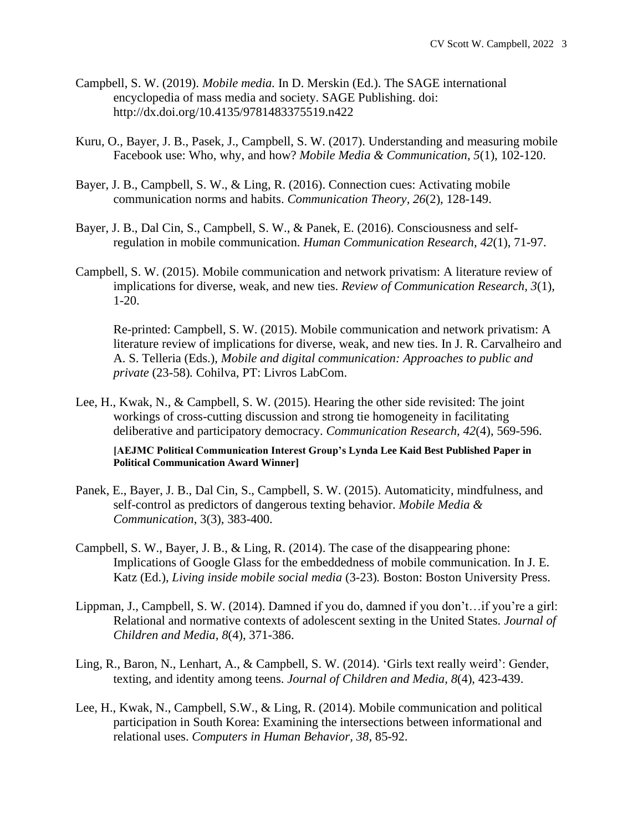- Campbell, S. W. (2019). *Mobile media.* In D. Merskin (Ed.). The SAGE international encyclopedia of mass media and society. SAGE Publishing. doi: http://dx.doi.org/10.4135/9781483375519.n422
- Kuru, O., Bayer, J. B., Pasek, J., Campbell, S. W. (2017). Understanding and measuring mobile Facebook use: Who, why, and how? *Mobile Media & Communication, 5*(1), 102-120.
- Bayer, J. B., Campbell, S. W., & Ling, R. (2016). Connection cues: Activating mobile communication norms and habits. *Communication Theory, 26*(2), 128-149.
- Bayer, J. B., Dal Cin, S., Campbell, S. W., & Panek, E. (2016). Consciousness and selfregulation in mobile communication. *Human Communication Research, 42*(1), 71-97.
- Campbell, S. W. (2015). Mobile communication and network privatism: A literature review of implications for diverse, weak, and new ties. *Review of Communication Research, 3*(1)*,*  1-20.

Re-printed: Campbell, S. W. (2015). Mobile communication and network privatism: A literature review of implications for diverse, weak, and new ties. In J. R. Carvalheiro and A. S. Telleria (Eds.), *Mobile and digital communication: Approaches to public and private* (23-58)*.* Cohilva, PT: Livros LabCom.

Lee, H., Kwak, N., & Campbell, S. W. (2015). Hearing the other side revisited: The joint workings of cross-cutting discussion and strong tie homogeneity in facilitating deliberative and participatory democracy. *Communication Research, 42*(4), 569-596.

**[AEJMC Political Communication Interest Group's Lynda Lee Kaid Best Published Paper in Political Communication Award Winner]**

- Panek, E., Bayer, J. B., Dal Cin, S., Campbell, S. W. (2015). Automaticity, mindfulness, and self-control as predictors of dangerous texting behavior. *Mobile Media & Communication*, 3(3), 383-400.
- Campbell, S. W., Bayer, J. B., & Ling, R. (2014). The case of the disappearing phone: Implications of Google Glass for the embeddedness of mobile communication. In J. E. Katz (Ed.), *Living inside mobile social media* (3-23)*.* Boston: Boston University Press.
- Lippman, J., Campbell, S. W. (2014). Damned if you do, damned if you don't…if you're a girl: Relational and normative contexts of adolescent sexting in the United States. *Journal of Children and Media, 8*(4), 371-386.
- Ling, R., Baron, N., Lenhart, A., & Campbell, S. W. (2014). 'Girls text really weird': Gender, texting, and identity among teens. *Journal of Children and Media, 8*(4), 423-439.
- Lee, H., Kwak, N., Campbell, S.W., & Ling, R. (2014). Mobile communication and political participation in South Korea: Examining the intersections between informational and relational uses. *Computers in Human Behavior, 38*, 85-92.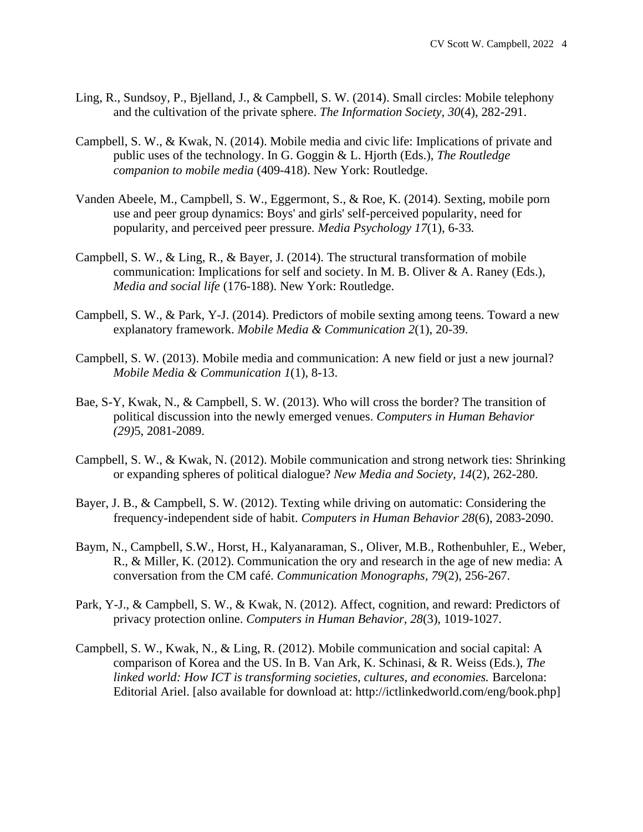- Ling, R., Sundsoy, P., Bjelland, J., & Campbell, S. W. (2014). Small circles: Mobile telephony and the cultivation of the private sphere. *The Information Society, 30*(4), 282-291.
- Campbell, S. W., & Kwak, N. (2014). Mobile media and civic life: Implications of private and public uses of the technology. In G. Goggin & L. Hjorth (Eds.), *The Routledge companion to mobile media* (409-418). New York: Routledge.
- Vanden Abeele, M., Campbell, S. W., Eggermont, S., & Roe, K. (2014). Sexting, mobile porn use and peer group dynamics: Boys' and girls' self-perceived popularity, need for popularity, and perceived peer pressure. *Media Psychology 17*(1), 6-33*.*
- Campbell, S. W., & Ling, R., & Bayer, J. (2014). The structural transformation of mobile communication: Implications for self and society. In M. B. Oliver & A. Raney (Eds.), *Media and social life* (176-188). New York: Routledge.
- Campbell, S. W., & Park, Y-J. (2014). Predictors of mobile sexting among teens. Toward a new explanatory framework. *Mobile Media & Communication 2*(1), 20-39.
- Campbell, S. W. (2013). Mobile media and communication: A new field or just a new journal? *Mobile Media & Communication 1*(1), 8-13.
- Bae, S-Y, Kwak, N., & Campbell, S. W. (2013). Who will cross the border? The transition of political discussion into the newly emerged venues. *Computers in Human Behavior (29)*5, 2081-2089.
- Campbell, S. W., & Kwak, N. (2012). Mobile communication and strong network ties: Shrinking or expanding spheres of political dialogue? *New Media and Society, 14*(2), 262-280.
- Bayer, J. B., & Campbell, S. W. (2012). Texting while driving on automatic: Considering the frequency-independent side of habit. *Computers in Human Behavior 28*(6), 2083-2090.
- Baym, N., Campbell, S.W., Horst, H., Kalyanaraman, S., Oliver, M.B., Rothenbuhler, E., Weber, R., & Miller, K. (2012). Communication the ory and research in the age of new media: A conversation from the CM café. *Communication Monographs, 79*(2), 256-267.
- Park, Y-J., & Campbell, S. W., & Kwak, N. (2012). Affect, cognition, and reward: Predictors of privacy protection online. *Computers in Human Behavior, 28*(3), 1019-1027.
- Campbell, S. W., Kwak, N., & Ling, R. (2012). Mobile communication and social capital: A comparison of Korea and the US. In B. Van Ark, K. Schinasi, & R. Weiss (Eds.), *The linked world: How ICT is transforming societies, cultures, and economies.* Barcelona: Editorial Ariel. [also available for download at: http://ictlinkedworld.com/eng/book.php]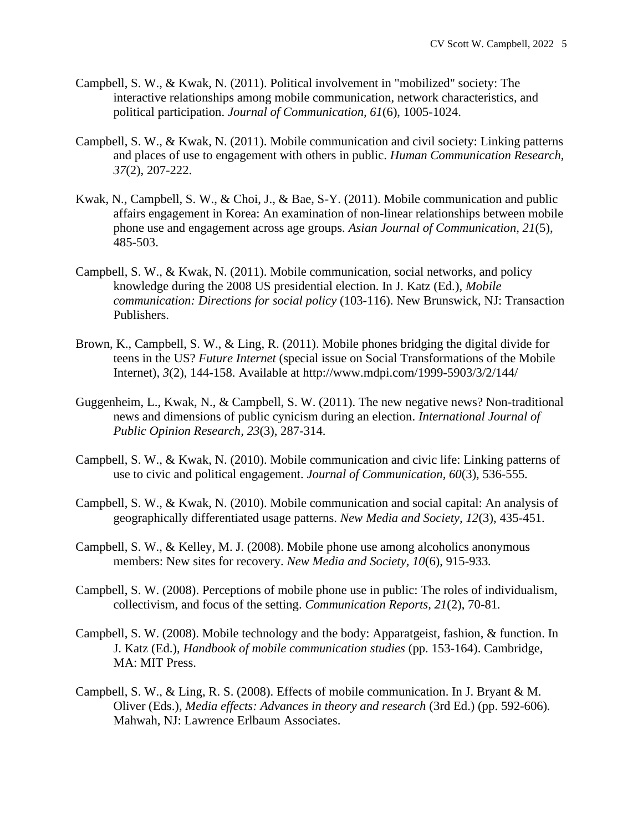- Campbell, S. W., & Kwak, N. (2011). Political involvement in "mobilized" society: The interactive relationships among mobile communication, network characteristics, and political participation. *Journal of Communication, 61*(6), 1005-1024.
- Campbell, S. W., & Kwak, N. (2011). Mobile communication and civil society: Linking patterns and places of use to engagement with others in public. *Human Communication Research, 37*(2), 207-222.
- Kwak, N., Campbell, S. W., & Choi, J., & Bae, S-Y. (2011). Mobile communication and public affairs engagement in Korea: An examination of non-linear relationships between mobile phone use and engagement across age groups. *Asian Journal of Communication, 21*(5), 485-503.
- Campbell, S. W., & Kwak, N. (2011). Mobile communication, social networks, and policy knowledge during the 2008 US presidential election. In J. Katz (Ed.), *Mobile communication: Directions for social policy* (103-116). New Brunswick, NJ: Transaction Publishers.
- Brown, K., Campbell, S. W., & Ling, R. (2011). Mobile phones bridging the digital divide for teens in the US? *Future Internet* (special issue on Social Transformations of the Mobile Internet), *3*(2), 144-158. Available at http://www.mdpi.com/1999-5903/3/2/144/
- Guggenheim, L., Kwak, N., & Campbell, S. W. (2011). The new negative news? Non-traditional news and dimensions of public cynicism during an election. *International Journal of Public Opinion Research, 23*(3), 287-314.
- Campbell, S. W., & Kwak, N. (2010). Mobile communication and civic life: Linking patterns of use to civic and political engagement. *Journal of Communication, 60*(3), 536-555*.*
- Campbell, S. W., & Kwak, N. (2010). Mobile communication and social capital: An analysis of geographically differentiated usage patterns. *New Media and Society, 12*(3), 435-451.
- Campbell, S. W., & Kelley, M. J. (2008). Mobile phone use among alcoholics anonymous members: New sites for recovery. *New Media and Society, 10*(6), 915-933*.*
- Campbell, S. W. (2008). Perceptions of mobile phone use in public: The roles of individualism, collectivism, and focus of the setting. *Communication Reports, 21*(2), 70-81*.*
- Campbell, S. W. (2008). Mobile technology and the body: Apparatgeist, fashion, & function. In J. Katz (Ed.), *Handbook of mobile communication studies* (pp. 153-164). Cambridge, MA: MIT Press.
- Campbell, S. W., & Ling, R. S. (2008). Effects of mobile communication. In J. Bryant & M. Oliver (Eds.), *Media effects: Advances in theory and research* (3rd Ed.) (pp. 592-606)*.*  Mahwah, NJ: Lawrence Erlbaum Associates.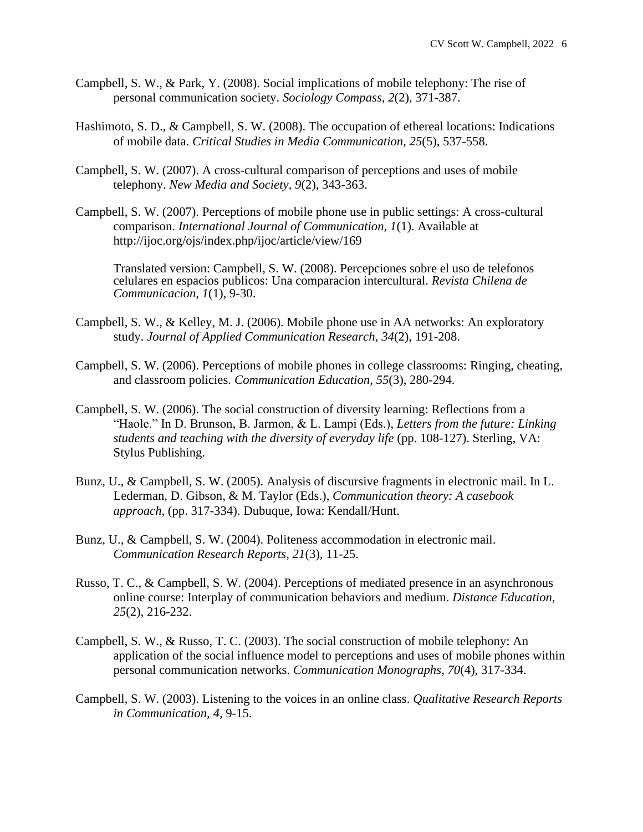- Campbell, S. W., & Park, Y. (2008). Social implications of mobile telephony: The rise of personal communication society. *Sociology Compass, 2*(2), 371-387.
- Hashimoto, S. D., & Campbell, S. W. (2008). The occupation of ethereal locations: Indications of mobile data. *Critical Studies in Media Communication, 25*(5), 537-558.
- Campbell, S. W. (2007). A cross-cultural comparison of perceptions and uses of mobile telephony. *New Media and Society, 9*(2), 343-363.
- Campbell, S. W. (2007). Perceptions of mobile phone use in public settings: A cross-cultural comparison. *International Journal of Communication, 1*(1). Available at <http://ijoc.org/ojs/index.php/ijoc/article/view/169>

Translated version: Campbell, S. W. (2008). Percepciones sobre el uso de telefonos celulares en espacios publicos: Una comparacion intercultural. *Revista Chilena de Communicacion, 1*(1), 9-30.

- Campbell, S. W., & Kelley, M. J. (2006). Mobile phone use in AA networks: An exploratory study. *Journal of Applied Communication Research, 34*(2), 191-208.
- Campbell, S. W. (2006). Perceptions of mobile phones in college classrooms: Ringing, cheating, and classroom policies. *Communication Education, 55*(3), 280-294.
- Campbell, S. W. (2006). The social construction of diversity learning: Reflections from a "Haole." In D. Brunson, B. Jarmon, & L. Lampi (Eds.), *Letters from the future: Linking students and teaching with the diversity of everyday life* (pp. 108-127). Sterling, VA: Stylus Publishing.
- Bunz, U., & Campbell, S. W. (2005). Analysis of discursive fragments in electronic mail. In L. Lederman, D. Gibson, & M. Taylor (Eds.), *Communication theory: A casebook approach,* (pp. 317-334). Dubuque, Iowa: Kendall/Hunt.
- Bunz, U., & Campbell, S. W. (2004). Politeness accommodation in electronic mail. *Communication Research Reports, 21*(3), 11-25.
- Russo, T. C., & Campbell, S. W. (2004). Perceptions of mediated presence in an asynchronous online course: Interplay of communication behaviors and medium. *Distance Education, 25*(2), 216-232.
- Campbell, S. W., & Russo, T. C. (2003). The social construction of mobile telephony: An application of the social influence model to perceptions and uses of mobile phones within personal communication networks. *Communication Monographs*, *70*(4), 317-334.
- Campbell, S. W. (2003). Listening to the voices in an online class. *Qualitative Research Reports in Communication, 4,* 9-15.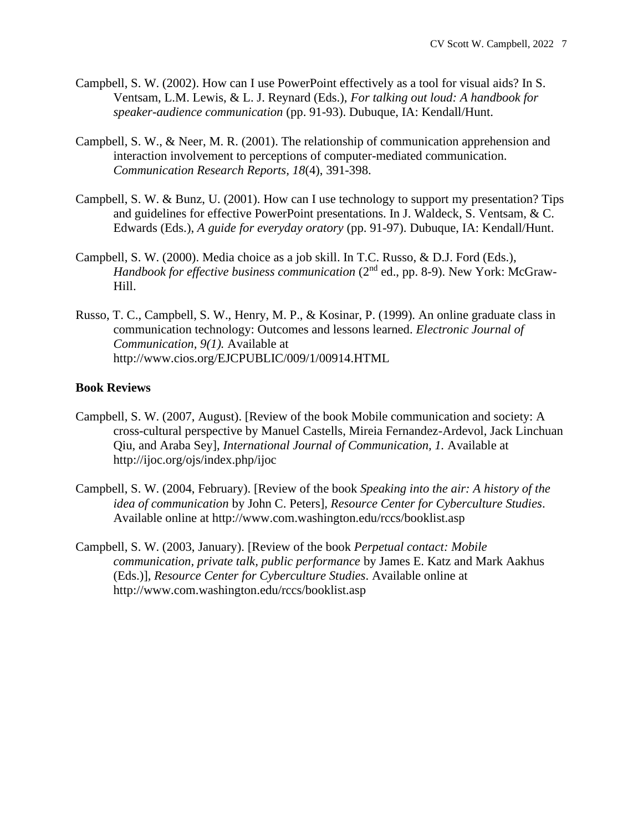- Campbell, S. W. (2002). How can I use PowerPoint effectively as a tool for visual aids? In S. Ventsam, L.M. Lewis, & L. J. Reynard (Eds.), *For talking out loud: A handbook for speaker-audience communication* (pp. 91-93). Dubuque, IA: Kendall/Hunt.
- Campbell, S. W., & Neer, M. R. (2001). The relationship of communication apprehension and interaction involvement to perceptions of computer-mediated communication. *Communication Research Reports, 18*(4), 391-398.
- Campbell, S. W. & Bunz, U. (2001). How can I use technology to support my presentation? Tips and guidelines for effective PowerPoint presentations. In J. Waldeck, S. Ventsam, & C. Edwards (Eds.), *A guide for everyday oratory* (pp. 91-97). Dubuque, IA: Kendall/Hunt.
- Campbell, S. W. (2000). Media choice as a job skill. In T.C. Russo, & D.J. Ford (Eds.), *Handbook for effective business communication* (2<sup>nd</sup> ed., pp. 8-9). New York: McGraw-Hill.
- Russo, T. C., Campbell, S. W., Henry, M. P., & Kosinar, P. (1999). An online graduate class in communication technology: Outcomes and lessons learned. *Electronic Journal of Communication, 9(1).* Available at http://www.cios.org/EJCPUBLIC/009/1/00914.HTML

## **Book Reviews**

- Campbell, S. W. (2007, August). [Review of the book Mobile communication and society: A cross-cultural perspective by Manuel Castells, Mireia Fernandez-Ardevol, Jack Linchuan Qiu, and Araba Sey], *International Journal of Communication, 1.* Available at http://ijoc.org/ojs/index.php/ijoc
- Campbell, S. W. (2004, February). [Review of the book *Speaking into the air: A history of the idea of communication* by John C. Peters]*, Resource Center for Cyberculture Studies*. Available online at http://www.com.washington.edu/rccs/booklist.asp
- Campbell, S. W. (2003, January). [Review of the book *Perpetual contact: Mobile communication, private talk, public performance* by James E. Katz and Mark Aakhus (Eds.)]*, Resource Center for Cyberculture Studies*. Available online at http://www.com.washington.edu/rccs/booklist.asp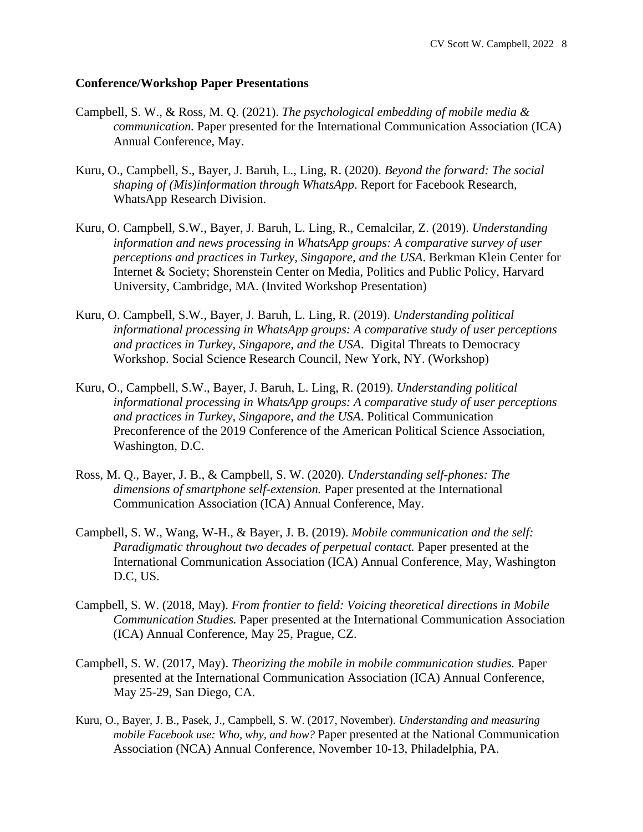#### **Conference/Workshop Paper Presentations**

- Campbell, S. W., & Ross, M. Q. (2021). *The psychological embedding of mobile media & communication.* Paper presented for the International Communication Association (ICA) Annual Conference, May.
- Kuru, O., Campbell, S., Bayer, J. Baruh, L., Ling, R. (2020). *Beyond the forward: The social shaping of (Mis)information through WhatsApp*. Report for Facebook Research, WhatsApp Research Division.
- Kuru, O. Campbell, S.W., Bayer, J. Baruh, L. Ling, R., Cemalcilar, Z. (2019). *Understanding information and news processing in WhatsApp groups: A comparative survey of user perceptions and practices in Turkey, Singapore, and the USA*. Berkman Klein Center for Internet & Society; Shorenstein Center on Media, Politics and Public Policy, Harvard University, Cambridge, MA. (Invited Workshop Presentation)
- Kuru, O. Campbell, S.W., Bayer, J. Baruh, L. Ling, R. (2019). *Understanding political informational processing in WhatsApp groups: A comparative study of user perceptions and practices in Turkey, Singapore, and the USA*. Digital Threats to Democracy Workshop. Social Science Research Council, New York, NY. (Workshop)
- Kuru, O., Campbell, S.W., Bayer, J. Baruh, L. Ling, R. (2019). *Understanding political informational processing in WhatsApp groups: A comparative study of user perceptions and practices in Turkey, Singapore, and the USA*. Political Communication Preconference of the 2019 Conference of the American Political Science Association, Washington, D.C.
- Ross, M. Q., Bayer, J. B., & Campbell, S. W. (2020). *Understanding self-phones: The dimensions of smartphone self-extension.* Paper presented at the International Communication Association (ICA) Annual Conference, May.
- Campbell, S. W., Wang, W-H., & Bayer, J. B. (2019). *Mobile communication and the self: Paradigmatic throughout two decades of perpetual contact.* Paper presented at the International Communication Association (ICA) Annual Conference, May, Washington D.C, US.
- Campbell, S. W. (2018, May). *From frontier to field: Voicing theoretical directions in Mobile Communication Studies.* Paper presented at the International Communication Association (ICA) Annual Conference, May 25, Prague, CZ.
- Campbell, S. W. (2017, May). *Theorizing the mobile in mobile communication studies.* Paper presented at the International Communication Association (ICA) Annual Conference, May 25-29, San Diego, CA.
- Kuru, O., Bayer, J. B., Pasek, J., Campbell, S. W. (2017, November). *Understanding and measuring mobile Facebook use: Who, why, and how?* Paper presented at the National Communication Association (NCA) Annual Conference, November 10-13, Philadelphia, PA.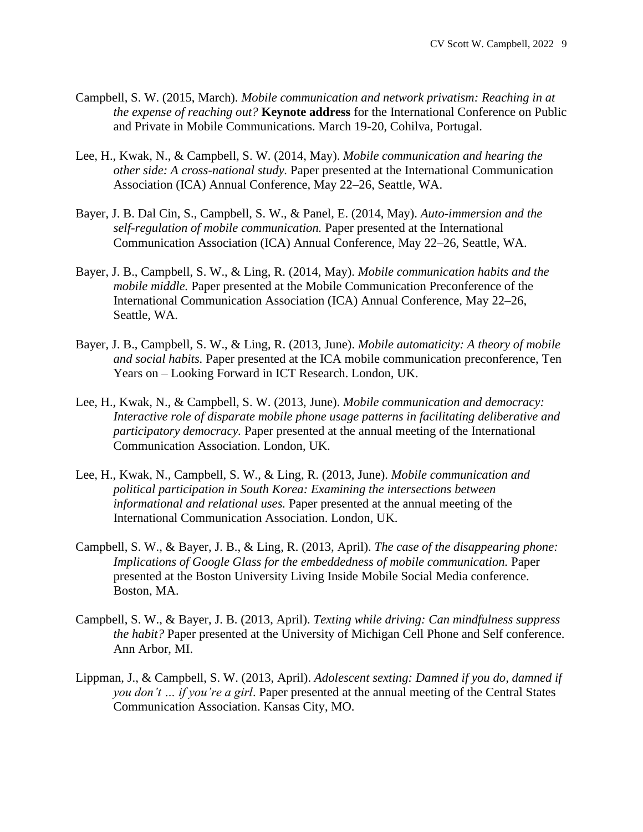- Campbell, S. W. (2015, March). *Mobile communication and network privatism: Reaching in at the expense of reaching out?* **Keynote address** for the International Conference on Public and Private in Mobile Communications. March 19-20, Cohilva, Portugal.
- Lee, H., Kwak, N., & Campbell, S. W. (2014, May). *Mobile communication and hearing the other side: A cross-national study.* Paper presented at the International Communication Association (ICA) Annual Conference, May 22–26, Seattle, WA.
- Bayer, J. B. Dal Cin, S., Campbell, S. W., & Panel, E. (2014, May). *Auto-immersion and the self-regulation of mobile communication.* Paper presented at the International Communication Association (ICA) Annual Conference, May 22–26, Seattle, WA.
- Bayer, J. B., Campbell, S. W., & Ling, R. (2014, May). *Mobile communication habits and the mobile middle.* Paper presented at the Mobile Communication Preconference of the International Communication Association (ICA) Annual Conference, May 22–26, Seattle, WA.
- Bayer, J. B., Campbell, S. W., & Ling, R. (2013, June). *Mobile automaticity: A theory of mobile and social habits.* Paper presented at the ICA mobile communication preconference, Ten Years on – Looking Forward in ICT Research. London, UK.
- Lee, H., Kwak, N., & Campbell, S. W. (2013, June). *Mobile communication and democracy: Interactive role of disparate mobile phone usage patterns in facilitating deliberative and participatory democracy.* Paper presented at the annual meeting of the International Communication Association. London, UK.
- Lee, H., Kwak, N., Campbell, S. W., & Ling, R. (2013, June). *Mobile communication and political participation in South Korea: Examining the intersections between informational and relational uses.* Paper presented at the annual meeting of the International Communication Association. London, UK.
- Campbell, S. W., & Bayer, J. B., & Ling, R. (2013, April). *The case of the disappearing phone: Implications of Google Glass for the embeddedness of mobile communication.* Paper presented at the Boston University Living Inside Mobile Social Media conference. Boston, MA.
- Campbell, S. W., & Bayer, J. B. (2013, April). *Texting while driving: Can mindfulness suppress the habit?* Paper presented at the University of Michigan Cell Phone and Self conference. Ann Arbor, MI.
- Lippman, J., & Campbell, S. W. (2013, April). *Adolescent sexting: Damned if you do, damned if you don't … if you're a girl*. Paper presented at the annual meeting of the Central States Communication Association. Kansas City, MO.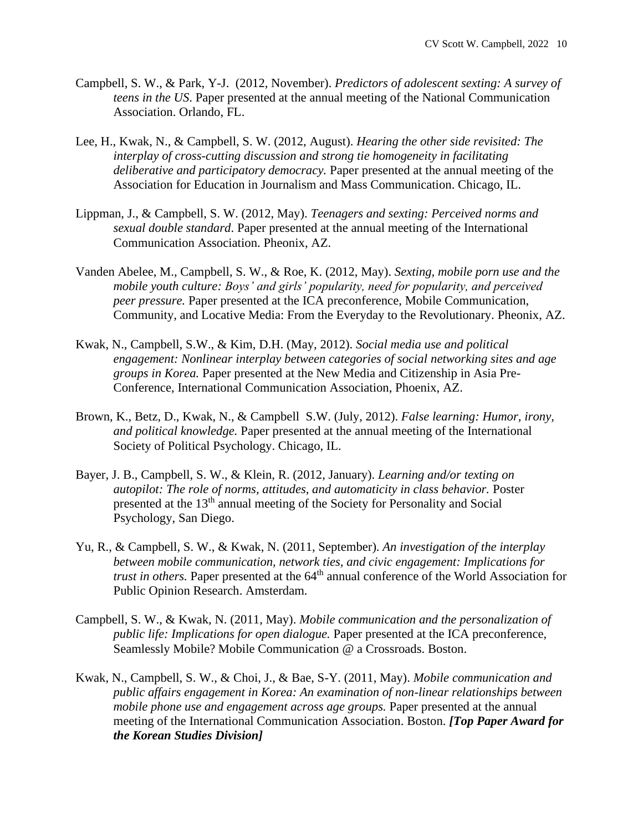- Campbell, S. W., & Park, Y-J. (2012, November). *Predictors of adolescent sexting: A survey of teens in the US*. Paper presented at the annual meeting of the National Communication Association. Orlando, FL.
- Lee, H., Kwak, N., & Campbell, S. W. (2012, August). *Hearing the other side revisited: The interplay of cross-cutting discussion and strong tie homogeneity in facilitating deliberative and participatory democracy.* Paper presented at the annual meeting of the Association for Education in Journalism and Mass Communication. Chicago, IL.
- Lippman, J., & Campbell, S. W. (2012, May). *Teenagers and sexting: Perceived norms and sexual double standard*. Paper presented at the annual meeting of the International Communication Association. Pheonix, AZ.
- Vanden Abelee, M., Campbell, S. W., & Roe, K. (2012, May). *Sexting, mobile porn use and the mobile youth culture: Boys' and girls' popularity, need for popularity, and perceived peer pressure.* Paper presented at the ICA preconference, Mobile Communication, Community, and Locative Media: From the Everyday to the Revolutionary. Pheonix, AZ.
- Kwak, N., Campbell, S.W., & Kim, D.H. (May, 2012). *Social media use and political engagement: Nonlinear interplay between categories of social networking sites and age groups in Korea.* Paper presented at the New Media and Citizenship in Asia Pre-Conference, International Communication Association, Phoenix, AZ.
- Brown, K., Betz, D., Kwak, N., & Campbell S.W. (July, 2012). *False learning: Humor, irony, and political knowledge.* Paper presented at the annual meeting of the International Society of Political Psychology. Chicago, IL.
- Bayer, J. B., Campbell, S. W., & Klein, R. (2012, January). *Learning and/or texting on autopilot: The role of norms, attitudes, and automaticity in class behavior.* Poster presented at the 13<sup>th</sup> annual meeting of the Society for Personality and Social Psychology, San Diego.
- Yu, R., & Campbell, S. W., & Kwak, N. (2011, September). *An investigation of the interplay between mobile communication, network ties, and civic engagement: Implications for trust in others*. Paper presented at the 64<sup>th</sup> annual conference of the World Association for Public Opinion Research. Amsterdam.
- Campbell, S. W., & Kwak, N. (2011, May). *Mobile communication and the personalization of public life: Implications for open dialogue.* Paper presented at the ICA preconference, Seamlessly Mobile? Mobile Communication @ a Crossroads. Boston.
- Kwak, N., Campbell, S. W., & Choi, J., & Bae, S-Y. (2011, May). *Mobile communication and public affairs engagement in Korea: An examination of non-linear relationships between mobile phone use and engagement across age groups.* Paper presented at the annual meeting of the International Communication Association. Boston. *[Top Paper Award for the Korean Studies Division]*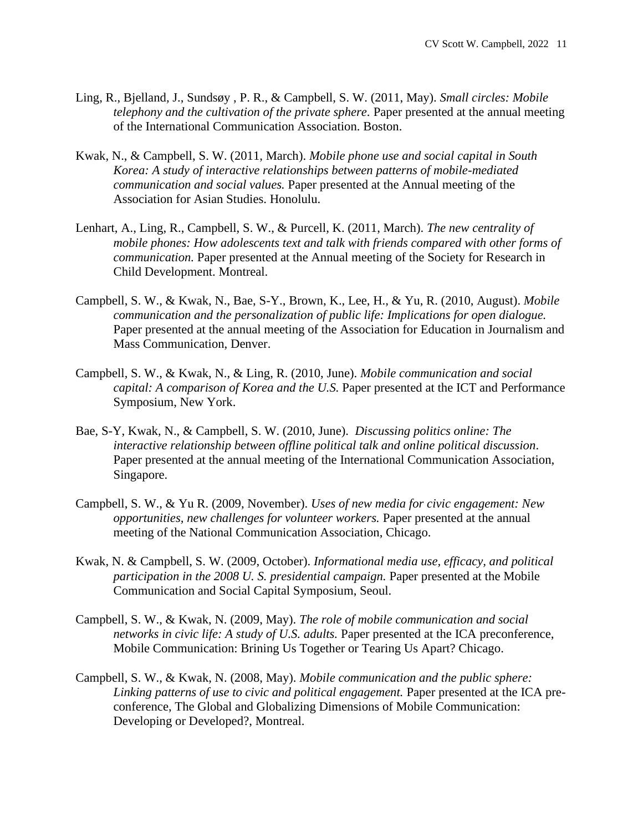- Ling, R., Bjelland, J., Sundsøy , P. R., & Campbell, S. W. (2011, May). *Small circles: Mobile telephony and the cultivation of the private sphere.* Paper presented at the annual meeting of the International Communication Association. Boston.
- Kwak, N., & Campbell, S. W. (2011, March). *Mobile phone use and social capital in South Korea: A study of interactive relationships between patterns of mobile-mediated communication and social values.* Paper presented at the Annual meeting of the Association for Asian Studies. Honolulu.
- Lenhart, A., Ling, R., Campbell, S. W., & Purcell, K. (2011, March). *The new centrality of mobile phones: How adolescents text and talk with friends compared with other forms of communication.* Paper presented at the Annual meeting of the Society for Research in Child Development. Montreal.
- Campbell, S. W., & Kwak, N., Bae, S-Y., Brown, K., Lee, H., & Yu, R. (2010, August). *Mobile communication and the personalization of public life: Implications for open dialogue.* Paper presented at the annual meeting of the Association for Education in Journalism and Mass Communication, Denver.
- Campbell, S. W., & Kwak, N., & Ling, R. (2010, June). *Mobile communication and social capital: A comparison of Korea and the U.S.* Paper presented at the ICT and Performance Symposium, New York.
- Bae, S-Y, Kwak, N., & Campbell, S. W. (2010, June). *Discussing politics online: The interactive relationship between offline political talk and online political discussion*. Paper presented at the annual meeting of the International Communication Association, Singapore.
- Campbell, S. W., & Yu R. (2009, November). *Uses of new media for civic engagement: New opportunities, new challenges for volunteer workers.* Paper presented at the annual meeting of the National Communication Association, Chicago.
- Kwak, N. & Campbell, S. W. (2009, October). *Informational media use, efficacy, and political participation in the 2008 U. S. presidential campaign.* Paper presented at the Mobile Communication and Social Capital Symposium, Seoul.
- Campbell, S. W., & Kwak, N. (2009, May). *The role of mobile communication and social networks in civic life: A study of U.S. adults.* Paper presented at the ICA preconference, Mobile Communication: Brining Us Together or Tearing Us Apart? Chicago.
- Campbell, S. W., & Kwak, N. (2008, May). *Mobile communication and the public sphere: Linking patterns of use to civic and political engagement.* Paper presented at the ICA preconference, The Global and Globalizing Dimensions of Mobile Communication: Developing or Developed?, Montreal.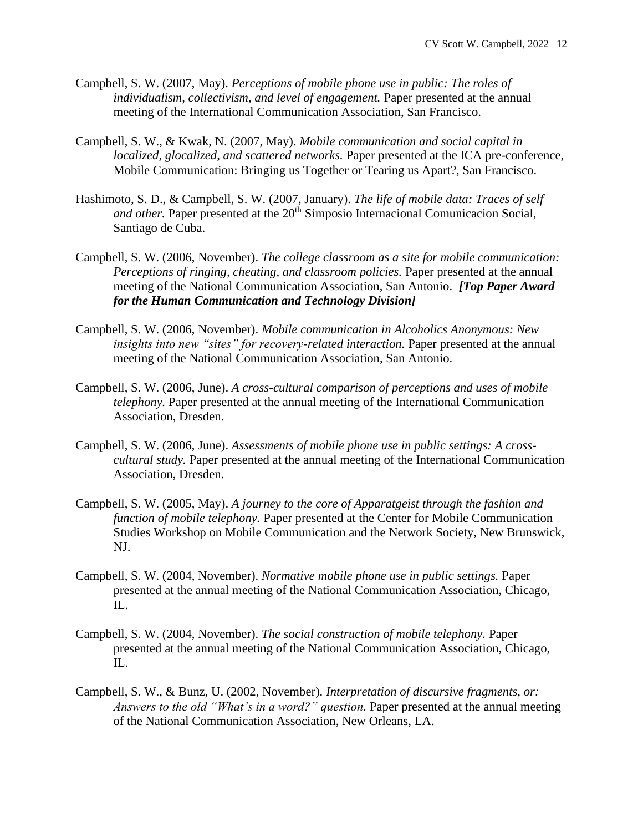- Campbell, S. W. (2007, May). *Perceptions of mobile phone use in public: The roles of individualism, collectivism, and level of engagement.* Paper presented at the annual meeting of the International Communication Association, San Francisco.
- Campbell, S. W., & Kwak, N. (2007, May). *Mobile communication and social capital in localized, glocalized, and scattered networks.* Paper presented at the ICA pre-conference, Mobile Communication: Bringing us Together or Tearing us Apart?, San Francisco.
- Hashimoto, S. D., & Campbell, S. W. (2007, January). *The life of mobile data: Traces of self and other.* Paper presented at the 20<sup>th</sup> Simposio Internacional Comunicacion Social, Santiago de Cuba.
- Campbell, S. W. (2006, November). *The college classroom as a site for mobile communication: Perceptions of ringing, cheating, and classroom policies.* Paper presented at the annual meeting of the National Communication Association, San Antonio. *[Top Paper Award for the Human Communication and Technology Division]*
- Campbell, S. W. (2006, November). *Mobile communication in Alcoholics Anonymous: New insights into new "sites" for recovery-related interaction.* Paper presented at the annual meeting of the National Communication Association, San Antonio.
- Campbell, S. W. (2006, June). *A cross-cultural comparison of perceptions and uses of mobile telephony.* Paper presented at the annual meeting of the International Communication Association, Dresden.
- Campbell, S. W. (2006, June). *Assessments of mobile phone use in public settings: A crosscultural study.* Paper presented at the annual meeting of the International Communication Association, Dresden.
- Campbell, S. W. (2005, May). *A journey to the core of Apparatgeist through the fashion and function of mobile telephony.* Paper presented at the Center for Mobile Communication Studies Workshop on Mobile Communication and the Network Society, New Brunswick, NJ.
- Campbell, S. W. (2004, November). *Normative mobile phone use in public settings.* Paper presented at the annual meeting of the National Communication Association, Chicago, IL.
- Campbell, S. W. (2004, November). *The social construction of mobile telephony.* Paper presented at the annual meeting of the National Communication Association, Chicago, IL.
- Campbell, S. W., & Bunz, U. (2002, November). *Interpretation of discursive fragments, or: Answers to the old "What's in a word?" question.* Paper presented at the annual meeting of the National Communication Association, New Orleans, LA.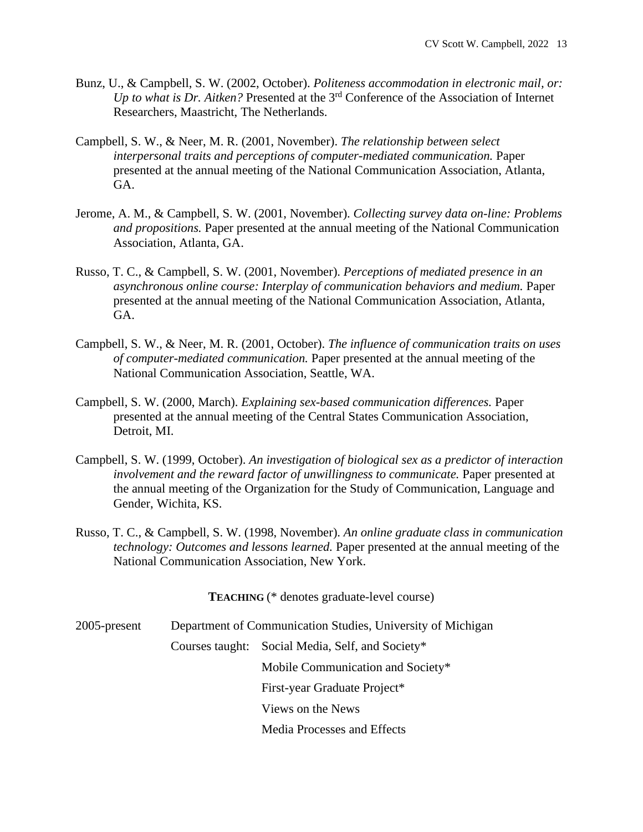- Bunz, U., & Campbell, S. W. (2002, October). *Politeness accommodation in electronic mail, or: Up to what is Dr. Aitken?* Presented at the 3rd Conference of the Association of Internet Researchers, Maastricht, The Netherlands.
- Campbell, S. W., & Neer, M. R. (2001, November). *The relationship between select interpersonal traits and perceptions of computer-mediated communication.* Paper presented at the annual meeting of the National Communication Association, Atlanta, GA.
- Jerome, A. M., & Campbell, S. W. (2001, November). *Collecting survey data on-line: Problems and propositions.* Paper presented at the annual meeting of the National Communication Association, Atlanta, GA.
- Russo, T. C., & Campbell, S. W. (2001, November). *Perceptions of mediated presence in an asynchronous online course: Interplay of communication behaviors and medium.* Paper presented at the annual meeting of the National Communication Association, Atlanta, GA.
- Campbell, S. W., & Neer, M. R. (2001, October). *The influence of communication traits on uses of computer-mediated communication.* Paper presented at the annual meeting of the National Communication Association, Seattle, WA.
- Campbell, S. W. (2000, March). *Explaining sex-based communication differences.* Paper presented at the annual meeting of the Central States Communication Association, Detroit, MI.
- Campbell, S. W. (1999, October). *An investigation of biological sex as a predictor of interaction involvement and the reward factor of unwillingness to communicate.* Paper presented at the annual meeting of the Organization for the Study of Communication, Language and Gender, Wichita, KS.
- Russo, T. C., & Campbell, S. W. (1998, November). *An online graduate class in communication technology: Outcomes and lessons learned.* Paper presented at the annual meeting of the National Communication Association, New York.

**TEACHING** (\* denotes graduate-level course)

2005-present Department of Communication Studies, University of Michigan

Courses taught: Social Media, Self, and Society\*

Mobile Communication and Society\*

First-year Graduate Project\*

Views on the News

Media Processes and Effects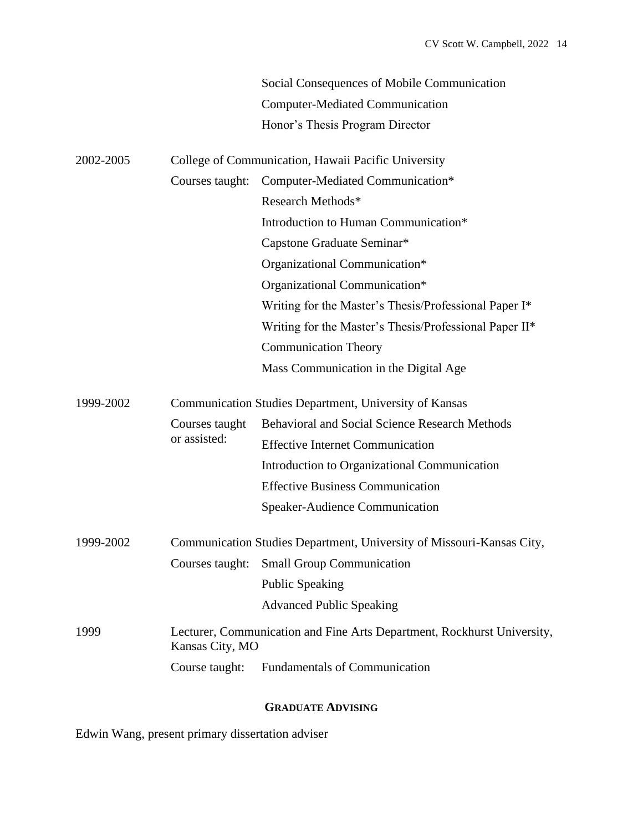|           |                                                        | Social Consequences of Mobile Communication                             |  |
|-----------|--------------------------------------------------------|-------------------------------------------------------------------------|--|
|           |                                                        | <b>Computer-Mediated Communication</b>                                  |  |
|           |                                                        | Honor's Thesis Program Director                                         |  |
| 2002-2005 | College of Communication, Hawaii Pacific University    |                                                                         |  |
|           | Courses taught:                                        | Computer-Mediated Communication*                                        |  |
|           |                                                        | Research Methods*                                                       |  |
|           |                                                        | Introduction to Human Communication*                                    |  |
|           |                                                        | Capstone Graduate Seminar*                                              |  |
|           |                                                        | Organizational Communication*                                           |  |
|           |                                                        | Organizational Communication*                                           |  |
|           |                                                        | Writing for the Master's Thesis/Professional Paper I*                   |  |
|           |                                                        | Writing for the Master's Thesis/Professional Paper II*                  |  |
|           |                                                        | <b>Communication Theory</b>                                             |  |
|           |                                                        | Mass Communication in the Digital Age                                   |  |
| 1999-2002 | Communication Studies Department, University of Kansas |                                                                         |  |
|           | Courses taught<br>or assisted:                         | <b>Behavioral and Social Science Research Methods</b>                   |  |
|           |                                                        | <b>Effective Internet Communication</b>                                 |  |
|           |                                                        | Introduction to Organizational Communication                            |  |
|           |                                                        | <b>Effective Business Communication</b>                                 |  |
|           |                                                        | Speaker-Audience Communication                                          |  |
| 1999-2002 |                                                        | Communication Studies Department, University of Missouri-Kansas City,   |  |
|           | Courses taught:                                        | <b>Small Group Communication</b>                                        |  |
|           |                                                        | <b>Public Speaking</b>                                                  |  |
|           |                                                        | <b>Advanced Public Speaking</b>                                         |  |
| 1999      | Kansas City, MO                                        | Lecturer, Communication and Fine Arts Department, Rockhurst University, |  |
|           | Course taught:                                         | <b>Fundamentals of Communication</b>                                    |  |

# **GRADUATE ADVISING**

Edwin Wang, present primary dissertation adviser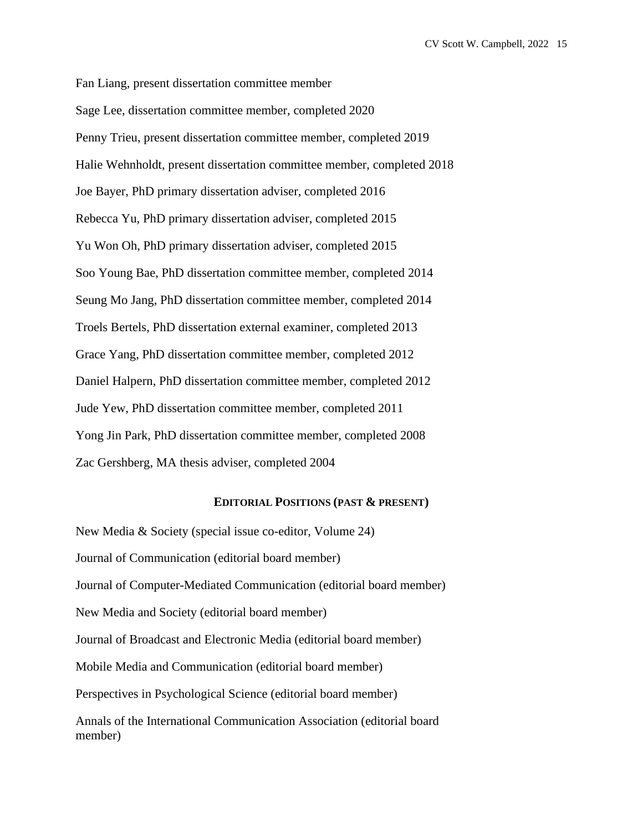Fan Liang, present dissertation committee member Sage Lee, dissertation committee member, completed 2020 Penny Trieu, present dissertation committee member, completed 2019 Halie Wehnholdt, present dissertation committee member, completed 2018 Joe Bayer, PhD primary dissertation adviser, completed 2016 Rebecca Yu, PhD primary dissertation adviser, completed 2015 Yu Won Oh, PhD primary dissertation adviser, completed 2015 Soo Young Bae, PhD dissertation committee member, completed 2014 Seung Mo Jang, PhD dissertation committee member, completed 2014 Troels Bertels, PhD dissertation external examiner, completed 2013 Grace Yang, PhD dissertation committee member, completed 2012 Daniel Halpern, PhD dissertation committee member, completed 2012 Jude Yew, PhD dissertation committee member, completed 2011 Yong Jin Park, PhD dissertation committee member, completed 2008 Zac Gershberg, MA thesis adviser, completed 2004

#### **EDITORIAL POSITIONS (PAST & PRESENT)**

New Media & Society (special issue co-editor, Volume 24) Journal of Communication (editorial board member) Journal of Computer-Mediated Communication (editorial board member) New Media and Society (editorial board member) Journal of Broadcast and Electronic Media (editorial board member) Mobile Media and Communication (editorial board member) Perspectives in Psychological Science (editorial board member) Annals of the International Communication Association (editorial board member)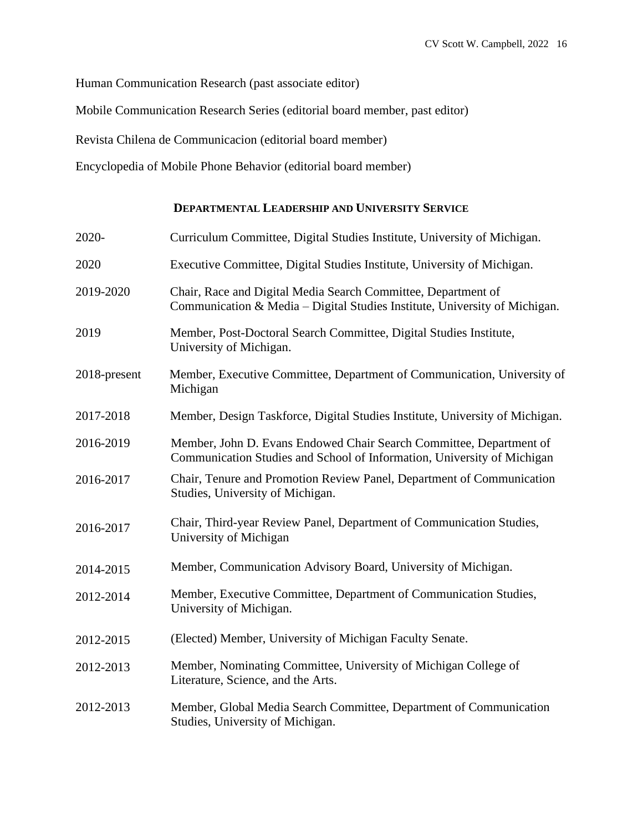Human Communication Research (past associate editor)

Mobile Communication Research Series (editorial board member, past editor)

Revista Chilena de Communicacion (editorial board member)

Encyclopedia of Mobile Phone Behavior (editorial board member)

## **DEPARTMENTAL LEADERSHIP AND UNIVERSITY SERVICE**

| 2020-        | Curriculum Committee, Digital Studies Institute, University of Michigan.                                                                       |  |  |
|--------------|------------------------------------------------------------------------------------------------------------------------------------------------|--|--|
| 2020         | Executive Committee, Digital Studies Institute, University of Michigan.                                                                        |  |  |
| 2019-2020    | Chair, Race and Digital Media Search Committee, Department of<br>Communication & Media – Digital Studies Institute, University of Michigan.    |  |  |
| 2019         | Member, Post-Doctoral Search Committee, Digital Studies Institute,<br>University of Michigan.                                                  |  |  |
| 2018-present | Member, Executive Committee, Department of Communication, University of<br>Michigan                                                            |  |  |
| 2017-2018    | Member, Design Taskforce, Digital Studies Institute, University of Michigan.                                                                   |  |  |
| 2016-2019    | Member, John D. Evans Endowed Chair Search Committee, Department of<br>Communication Studies and School of Information, University of Michigan |  |  |
| 2016-2017    | Chair, Tenure and Promotion Review Panel, Department of Communication<br>Studies, University of Michigan.                                      |  |  |
| 2016-2017    | Chair, Third-year Review Panel, Department of Communication Studies,<br>University of Michigan                                                 |  |  |
| 2014-2015    | Member, Communication Advisory Board, University of Michigan.                                                                                  |  |  |
| 2012-2014    | Member, Executive Committee, Department of Communication Studies,<br>University of Michigan.                                                   |  |  |
| 2012-2015    | (Elected) Member, University of Michigan Faculty Senate.                                                                                       |  |  |
| 2012-2013    | Member, Nominating Committee, University of Michigan College of<br>Literature, Science, and the Arts.                                          |  |  |
| 2012-2013    | Member, Global Media Search Committee, Department of Communication<br>Studies, University of Michigan.                                         |  |  |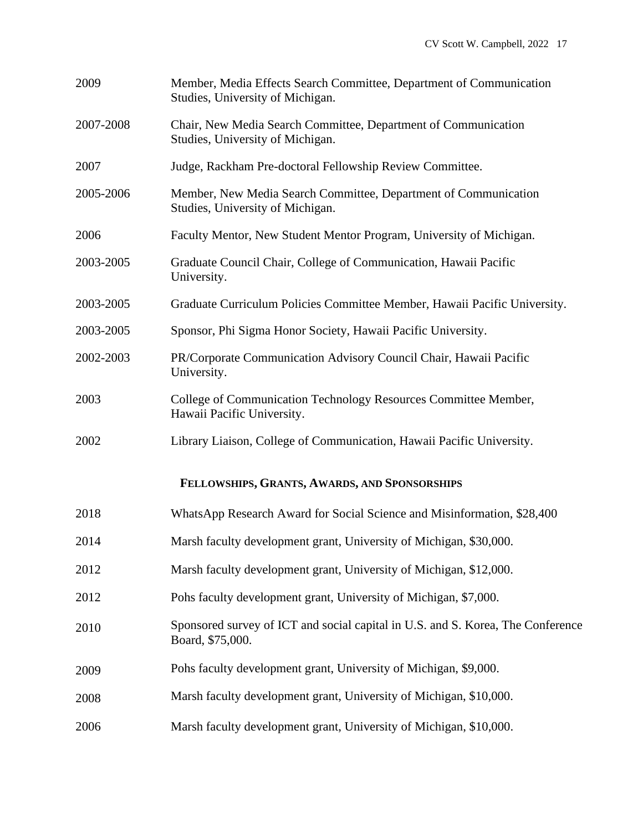| 2009      | Member, Media Effects Search Committee, Department of Communication<br>Studies, University of Michigan. |  |  |
|-----------|---------------------------------------------------------------------------------------------------------|--|--|
| 2007-2008 | Chair, New Media Search Committee, Department of Communication<br>Studies, University of Michigan.      |  |  |
| 2007      | Judge, Rackham Pre-doctoral Fellowship Review Committee.                                                |  |  |
| 2005-2006 | Member, New Media Search Committee, Department of Communication<br>Studies, University of Michigan.     |  |  |
| 2006      | Faculty Mentor, New Student Mentor Program, University of Michigan.                                     |  |  |
| 2003-2005 | Graduate Council Chair, College of Communication, Hawaii Pacific<br>University.                         |  |  |
| 2003-2005 | Graduate Curriculum Policies Committee Member, Hawaii Pacific University.                               |  |  |
| 2003-2005 | Sponsor, Phi Sigma Honor Society, Hawaii Pacific University.                                            |  |  |
| 2002-2003 | PR/Corporate Communication Advisory Council Chair, Hawaii Pacific<br>University.                        |  |  |
| 2003      | College of Communication Technology Resources Committee Member,<br>Hawaii Pacific University.           |  |  |
| 2002      | Library Liaison, College of Communication, Hawaii Pacific University.                                   |  |  |
|           | FELLOWSHIPS, GRANTS, AWARDS, AND SPONSORSHIPS                                                           |  |  |
| 2018      | WhatsApp Research Award for Social Science and Misinformation, \$28,400                                 |  |  |
| 2014      | Marsh faculty development grant, University of Michigan, \$30,000.                                      |  |  |
| 2012      | Marsh faculty development grant, University of Michigan, \$12,000.                                      |  |  |
| 2012      | Pohs faculty development grant, University of Michigan, \$7,000.                                        |  |  |
| 2010      | Sponsored survey of ICT and social capital in U.S. and S. Korea, The Conference<br>Board, \$75,000.     |  |  |
| 2009      | Pohs faculty development grant, University of Michigan, \$9,000.                                        |  |  |
| 2008      | Marsh faculty development grant, University of Michigan, \$10,000.                                      |  |  |
| 2006      | Marsh faculty development grant, University of Michigan, \$10,000.                                      |  |  |